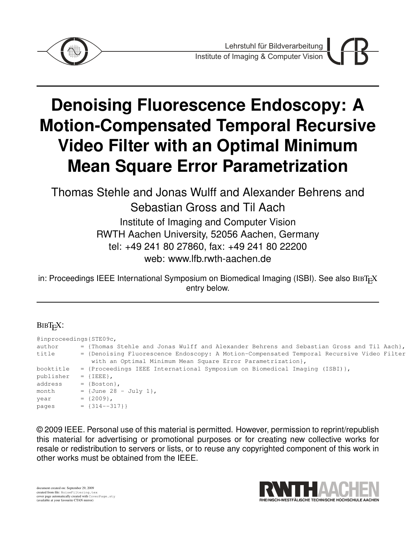

# **Denoising Fluorescence Endoscopy: A Motion-Compensated Temporal Recursive Video Filter with an Optimal Minimum Mean Square Error Parametrization**

Thomas Stehle and Jonas Wulff and Alexander Behrens and Sebastian Gross and Til Aach Institute of Imaging and Computer Vision

RWTH Aachen University, 52056 Aachen, Germany tel: +49 241 80 27860, fax: +49 241 80 22200

web: www.lfb.rwth-aachen.de

in: Proceedings IEEE International Symposium on Biomedical Imaging (ISBI). See also  $BIBT<sub>F</sub>X$ entry below.

# BIBT<sub>E</sub>X:

@inproceedings{STE09c, author  $=$  {Thomas Stehle and Jonas Wulff and Alexander Behrens and Sebastian Gross and Til Aach}, title = {Denoising Fluorescence Endoscopy: A Motion-Compensated Temporal Recursive Video Filter with an Optimal Minimum Mean Square Error Parametrization}, booktitle = {Proceedings IEEE International Symposium on Biomedical Imaging (ISBI)},  $publicer = {IEEE},$ address = {Boston}, month =  ${June 28 - July 1},$  $year = {2009},$  $pages = \{314--317\}$ 

© 2009 IEEE. Personal use of this material is permitted. However, permission to reprint/republish this material for advertising or promotional purposes or for creating new collective works for resale or redistribution to servers or lists, or to reuse any copyrighted component of this work in other works must be obtained from the IEEE.

document created on: September 29, 2009 created from file: NoiseFiltering.tex cover page automatically created with CoverPage.sty (available at your favourite CTAN mirror)

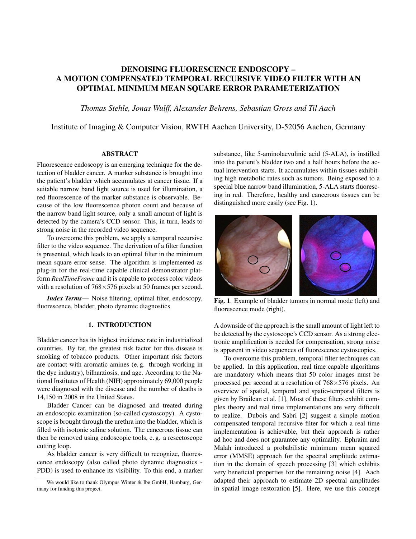# DENOISING FLUORESCENCE ENDOSCOPY – A MOTION COMPENSATED TEMPORAL RECURSIVE VIDEO FILTER WITH AN OPTIMAL MINIMUM MEAN SQUARE ERROR PARAMETERIZATION

*Thomas Stehle, Jonas Wulff, Alexander Behrens, Sebastian Gross and Til Aach*

## Institute of Imaging & Computer Vision, RWTH Aachen University, D-52056 Aachen, Germany

#### ABSTRACT

Fluorescence endoscopy is an emerging technique for the detection of bladder cancer. A marker substance is brought into the patient's bladder which accumulates at cancer tissue. If a suitable narrow band light source is used for illumination, a red fluorescence of the marker substance is observable. Because of the low fluorescence photon count and because of the narrow band light source, only a small amount of light is detected by the camera's CCD sensor. This, in turn, leads to strong noise in the recorded video sequence.

To overcome this problem, we apply a temporal recursive filter to the video sequence. The derivation of a filter function is presented, which leads to an optimal filter in the minimum mean square error sense. The algorithm is implemented as plug-in for the real-time capable clinical demonstrator platform *RealTimeFrame* and it is capable to process color videos with a resolution of 768×576 pixels at 50 frames per second.

*Index Terms*— Noise filtering, optimal filter, endoscopy, fluorescence, bladder, photo dynamic diagnostics

#### 1. INTRODUCTION

Bladder cancer has its highest incidence rate in industrialized countries. By far, the greatest risk factor for this disease is smoking of tobacco products. Other important risk factors are contact with aromatic amines (e. g. through working in the dye industry), bilharziosis, and age. According to the National Institutes of Health (NIH) approximately 69,000 people were diagnosed with the disease and the number of deaths is 14,150 in 2008 in the United States.

Bladder Cancer can be diagnosed and treated during an endoscopic examination (so-called cystoscopy). A cystoscope is brought through the urethra into the bladder, which is filled with isotonic saline solution. The cancerous tissue can then be removed using endoscopic tools, e. g. a resectoscope cutting loop.

As bladder cancer is very difficult to recognize, fluorescence endoscopy (also called photo dynamic diagnostics - PDD) is used to enhance its visibility. To this end, a marker substance, like 5-aminolaevulinic acid (5-ALA), is instilled into the patient's bladder two and a half hours before the actual intervention starts. It accumulates within tissues exhibiting high metabolic rates such as tumors. Being exposed to a special blue narrow band illumination, 5-ALA starts fluorescing in red. Therefore, healthy and cancerous tissues can be distinguished more easily (see Fig. 1).



Fig. 1. Example of bladder tumors in normal mode (left) and fluorescence mode (right).

A downside of the approach is the small amount of light left to be detected by the cystoscope's CCD sensor. As a strong electronic amplification is needed for compensation, strong noise is apparent in video sequences of fluorescence cystoscopies.

To overcome this problem, temporal filter techniques can be applied. In this application, real time capable algorithms are mandatory which means that 50 color images must be processed per second at a resolution of  $768\times576$  pixels. An overview of spatial, temporal and spatio-temporal filters is given by Brailean et al. [1]. Most of these filters exhibit complex theory and real time implementations are very difficult to realize. Dubois and Sabri [2] suggest a simple motion compensated temporal recursive filter for which a real time implementation is achievable, but their approach is rather ad hoc and does not guarantee any optimality. Ephraim and Malah introduced a probabilistic minimum mean squared error (MMSE) approach for the spectral amplitude estimation in the domain of speech processing [3] which exhibits very beneficial properties for the remaining noise [4]. Aach adapted their approach to estimate 2D spectral amplitudes in spatial image restoration [5]. Here, we use this concept

We would like to thank Olympus Winter & Ibe GmbH, Hamburg, Germany for funding this project.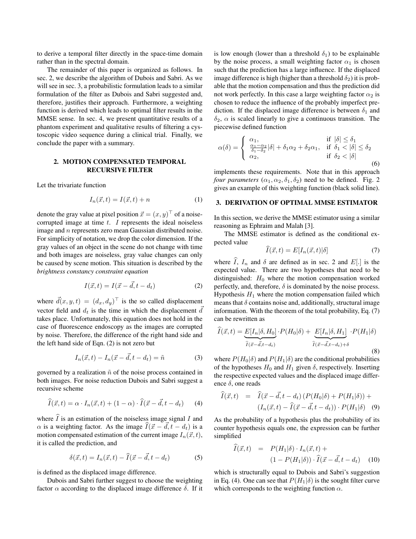to derive a temporal filter directly in the space-time domain rather than in the spectral domain.

The remainder of this paper is organized as follows. In sec. 2, we describe the algorithm of Dubois and Sabri. As we will see in sec. 3, a probabilistic formulation leads to a similar formulation of the filter as Dubois and Sabri suggested and, therefore, justifies their approach. Furthermore, a weighting function is derived which leads to optimal filter results in the MMSE sense. In sec. 4, we present quantitative results of a phantom experiment and qualitative results of filtering a cystoscopic video sequence during a clinical trial. Finally, we conclude the paper with a summary.

#### 2. MOTION COMPENSATED TEMPORAL RECURSIVE FILTER

Let the trivariate function

$$
I_n(\vec{x},t) = I(\vec{x},t) + n \tag{1}
$$

denote the gray value at pixel position  $\vec{x} = (x, y)^\top$  of a noisecorrupted image at time  $t$ . I represents the ideal noiseless image and n represents zero mean Gaussian distributed noise. For simplicity of notation, we drop the color dimension. If the gray values of an object in the scene do not change with time and both images are noiseless, gray value changes can only be caused by scene motion. This situation is described by the *brightness constancy constraint equation*

$$
I(\vec{x},t) = I(\vec{x} - \vec{d}, t - d_t)
$$
 (2)

where  $\vec{d}(x, y, t) = (d_x, d_y)^\top$  is the so called displacement vector field and  $d_t$  is the time in which the displacement  $\overrightarrow{d}$ takes place. Unfortunately, this equation does not hold in the case of fluorescence endoscopy as the images are corrupted by noise. Therefore, the difference of the right hand side and the left hand side of Eqn. (2) is not zero but

$$
I_n(\vec{x},t) - I_n(\vec{x} - \vec{d},t - d_t) = \tilde{n} \tag{3}
$$

governed by a realization  $\tilde{n}$  of the noise process contained in both images. For noise reduction Dubois and Sabri suggest a recursive scheme

$$
\widehat{I}(\vec{x},t) = \alpha \cdot I_n(\vec{x},t) + (1-\alpha) \cdot \widehat{I}(\vec{x}-\vec{d},t-d_t) \qquad (4)
$$

where  $\overline{I}$  is an estimation of the noiseless image signal  $\overline{I}$  and  $\alpha$  is a weighting factor. As the image  $\widehat{I}(\vec{x} - \vec{d}, t - d_t)$  is a motion compensated estimation of the current image  $I_n(\vec{x}, t)$ , it is called the prediction, and

$$
\delta(\vec{x},t) = I_n(\vec{x},t) - \widehat{I}(\vec{x}-\vec{d},t-d_t)
$$
 (5)

is defined as the displaced image difference.

Dubois and Sabri further suggest to choose the weighting factor  $\alpha$  according to the displaced image difference  $\delta$ . If it is low enough (lower than a threshold  $\delta_1$ ) to be explainable by the noise process, a small weighting factor  $\alpha_1$  is chosen such that the prediction has a large influence. If the displaced image difference is high (higher than a threshold  $\delta_2$ ) it is probable that the motion compensation and thus the prediction did not work perfectly. In this case a large weighting factor  $\alpha_2$  is chosen to reduce the influence of the probably imperfect prediction. If the displaced image difference is between  $\delta_1$  and  $\delta_2$ ,  $\alpha$  is scaled linearly to give a continuous transition. The piecewise defined function

$$
\alpha(\delta) = \begin{cases}\n\alpha_1, & \text{if } |\delta| \le \delta_1 \\
\frac{\alpha_1 - \alpha_2}{\delta_1 - \delta_2} |\delta| + \delta_1 \alpha_2 + \delta_2 \alpha_1, & \text{if } \delta_1 < |\delta| \le \delta_2 \\
\alpha_2, & \text{if } \delta_2 < |\delta|\n\end{cases}
$$
\n(6)

implements these requirements. Note that in this approach *four parameters*  $(\alpha_1, \alpha_2, \delta_1, \delta_2)$  need to be defined. Fig. 2 gives an example of this weighting function (black solid line).

### 3. DERIVATION OF OPTIMAL MMSE ESTIMATOR

In this section, we derive the MMSE estimator using a similar reasoning as Ephraim and Malah [3].

The MMSE estimator is defined as the conditional expected value

$$
I(\vec{x},t) = E[I_n(\vec{x},t)|\delta]
$$
\n(7)

where  $\widehat{I}$ ,  $I_n$  and  $\delta$  are defined as in sec. 2 and  $E[.]$  is the expected value. There are two hypotheses that need to be distinguished:  $H_0$  where the motion compensation worked perfectly, and, therefore,  $\delta$  is dominated by the noise process. Hypothesis  $H_1$  where the motion compensation failed which means that  $\delta$  contains noise and, additionally, structural image information. With the theorem of the total probability, Eq. (7) can be rewritten as

$$
I(\vec{x},t) = \underbrace{E[I_n|\delta, H_0]}_{\hat{I}(\vec{x}-\vec{d},t-d_t)} \cdot P(H_0|\delta) + \underbrace{E[I_n|\delta, H_1]}_{\hat{I}(\vec{x}-\vec{d},t-d_t)+\delta} \cdot P(H_1|\delta)
$$
\n(8)

where  $P(H_0|\delta)$  and  $P(H_1|\delta)$  are the conditional probabilities of the hypotheses  $H_0$  and  $H_1$  given  $\delta$ , respectively. Inserting the respective expected values and the displaced image difference  $\delta$ , one reads

$$
\widehat{I}(\vec{x},t) = \widehat{I}(\vec{x}-\vec{d},t-d_t) \left( P(H_0|\delta) + P(H_1|\delta) \right) +
$$
\n
$$
\left( I_n(\vec{x},t) - \widehat{I}(\vec{x}-\vec{d},t-d_t) \right) \cdot P(H_1|\delta) \quad (9)
$$

As the probability of a hypothesis plus the probability of its counter hypothesis equals one, the expression can be further simplified

$$
\begin{aligned}\n\widehat{I}(\vec{x},t) &= P(H_1|\delta) \cdot I_n(\vec{x},t) + \\
&\quad (1 - P(H_1|\delta)) \cdot \widehat{I}(\vec{x} - \vec{d}, t - d_t) \\
&\quad (10)\n\end{aligned}
$$

which is structurally equal to Dubois and Sabri's suggestion in Eq. (4). One can see that  $P(H_1|\delta)$  is the sought filter curve which corresponds to the weighting function  $\alpha$ .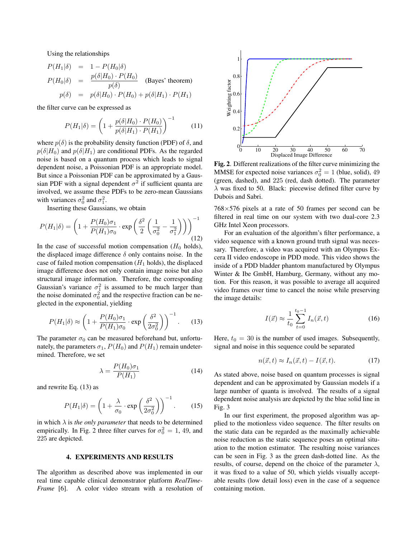Using the relationships

$$
P(H_1|\delta) = 1 - P(H_0|\delta)
$$
  
\n
$$
P(H_0|\delta) = \frac{p(\delta|H_0) \cdot P(H_0)}{p(\delta)}
$$
 (Bayes' theorem)  
\n
$$
p(\delta) = p(\delta|H_0) \cdot P(H_0) + p(\delta|H_1) \cdot P(H_1)
$$

the filter curve can be expressed as

$$
P(H_1|\delta) = \left(1 + \frac{p(\delta|H_0) \cdot P(H_0)}{p(\delta|H_1) \cdot P(H_1)}\right)^{-1}
$$
 (11)

where  $p(\delta)$  is the probability density function (PDF) of  $\delta$ , and  $p(\delta|H_0)$  and  $p(\delta|H_1)$  are conditional PDFs. As the regarded noise is based on a quantum process which leads to signal dependent noise, a Poissonian PDF is an appropriate model. But since a Poissonian PDF can be approximated by a Gaussian PDF with a signal dependent  $\sigma^2$  if sufficient quanta are involved, we assume these PDFs to be zero-mean Gaussians with variances  $\sigma_0^2$  and  $\sigma_1^2$ .

Inserting these Gaussians, we obtain

$$
P(H_1|\delta) = \left(1 + \frac{P(H_0)\sigma_1}{P(H_1)\sigma_0} \cdot \exp\left(\frac{\delta^2}{2} \left(\frac{1}{\sigma_0^2} - \frac{1}{\sigma_1^2}\right)\right)\right)^{-1}
$$
(12)

In the case of successful motion compensation  $(H_0 \text{ holds})$ , the displaced image difference  $\delta$  only contains noise. In the case of failed motion compensation  $(H_1 \text{ holds})$ , the displaced image difference does not only contain image noise but also structural image information. Therefore, the corresponding Gaussian's variance  $\sigma_1^2$  is assumed to be much larger than the noise dominated  $\sigma_0^2$  and the respective fraction can be neglected in the exponential, yielding

$$
P(H_1|\delta) \approx \left(1 + \frac{P(H_0)\sigma_1}{P(H_1)\sigma_0} \cdot \exp\left(\frac{\delta^2}{2\sigma_0^2}\right)\right)^{-1}.\tag{13}
$$

The parameter  $\sigma_0$  can be measured beforehand but, unfortunately, the parameters  $\sigma_1$ ,  $P(H_0)$  and  $P(H_1)$  remain undetermined. Therefore, we set

$$
\lambda = \frac{P(H_0)\sigma_1}{P(H_1)}\tag{14}
$$

and rewrite Eq. (13) as

$$
P(H_1|\delta) = \left(1 + \frac{\lambda}{\sigma_0} \cdot \exp\left(\frac{\delta^2}{2\sigma_0^2}\right)\right)^{-1}.\tag{15}
$$

in which  $\lambda$  is *the only parameter* that needs to be determined empirically. In Fig. 2 three filter curves for  $\sigma_0^2 = 1$ , 49, and 225 are depicted.

#### 4. EXPERIMENTS AND RESULTS

The algorithm as described above was implemented in our real time capable clinical demonstrator platform *RealTime-Frame* [6]. A color video stream with a resolution of



Fig. 2. Different realizations of the filter curve minimizing the MMSE for expected noise variances  $\sigma_0^2 = 1$  (blue, solid), 49 (green, dashed), and 225 (red, dash dotted). The parameter  $\lambda$  was fixed to 50. Black: piecewise defined filter curve by Dubois and Sabri.

 $768\times576$  pixels at a rate of 50 frames per second can be filtered in real time on our system with two dual-core 2.3 GHz Intel Xeon processors.

For an evaluation of the algorithm's filter performance, a video sequence with a known ground truth signal was necessary. Therefore, a video was acquired with an Olympus Excera II video endoscope in PDD mode. This video shows the inside of a PDD bladder phantom manufactured by Olympus Winter & Ibe GmbH, Hamburg, Germany, without any motion. For this reason, it was possible to average all acquired video frames over time to cancel the noise while preserving the image details:

$$
I(\vec{x}) \approx \frac{1}{t_0} \sum_{t=0}^{t_0 - 1} I_n(\vec{x}, t)
$$
 (16)

Here,  $t_0 = 30$  is the number of used images. Subsequently, signal and noise in this sequence could be separated

$$
n(\vec{x},t) \approx I_n(\vec{x},t) - I(\vec{x},t). \tag{17}
$$

As stated above, noise based on quantum processes is signal dependent and can be approximated by Gaussian models if a large number of quanta is involved. The results of a signal dependent noise analysis are depicted by the blue solid line in Fig. 3

In our first experiment, the proposed algorithm was applied to the motionless video sequence. The filter results on the static data can be regarded as the maximally achievable noise reduction as the static sequence poses an optimal situation to the motion estimator. The resulting noise variances can be seen in Fig. 3 as the green dash-dotted line. As the results, of course, depend on the choice of the parameter  $\lambda$ , it was fixed to a value of 50, which yields visually acceptable results (low detail loss) even in the case of a sequence containing motion.